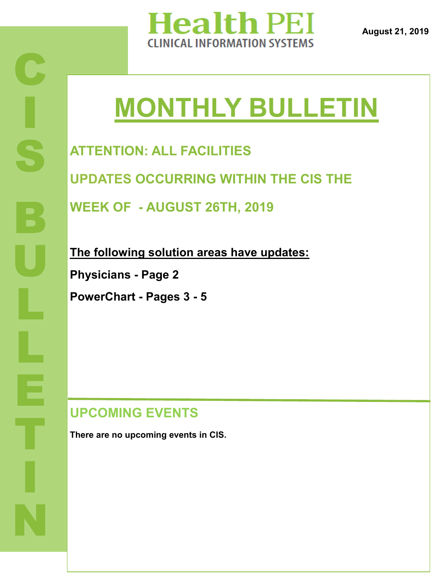

**August 21, 2019**

# **MONTHLY BULLETIN**

**ATTENTION: ALL FACILITIES**

**UPDATES OCCURRING WITHIN THE CIS THE** 

**WEEK OF - AUGUST 26TH, 2019**

**The following solution areas have updates:**

**Physicians - Page 2**

**PowerChart - Pages 3 - 5**

#### **UPCOMING EVENTS**

**There are no upcoming events in CIS.**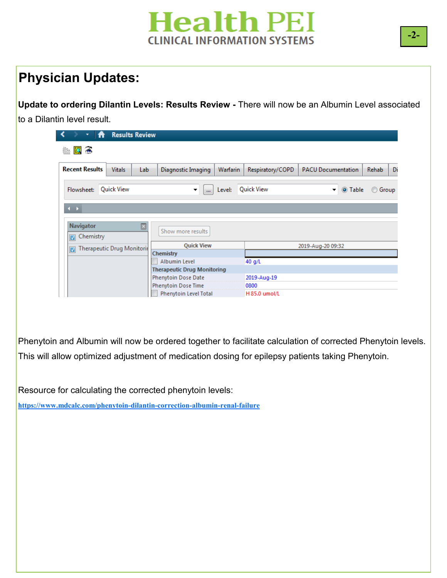# **Health PEI CLINICAL INFORMATION SYSTEMS**

## **Physician Updates:**

**Update to ordering Dilantin Levels: Results Review -** There will now be an Albumin Level associated to a Dilantin level result.

| ٠<br>π                                 |               | <b>Results Review</b> |                                    |          |                   |                           |         |              |    |
|----------------------------------------|---------------|-----------------------|------------------------------------|----------|-------------------|---------------------------|---------|--------------|----|
| $\bullet$<br>鹰                         |               |                       |                                    |          |                   |                           |         |              |    |
| <b>Recent Results</b>                  | <b>Vitals</b> | Lab                   | Diagnostic Imaging                 | Warfarin | Respiratory/COPD  | <b>PACU Documentation</b> |         | <b>Rehab</b> | Di |
| Flowsheet:                             | Quick View    |                       | ▼<br>$\mathbf{m}$                  | Level:   | Quick View        | ▼                         | O Table | ◯ Group      |    |
|                                        |               |                       |                                    |          |                   |                           |         |              |    |
| $\leftarrow$                           |               |                       |                                    |          |                   |                           |         |              |    |
| Navigator                              |               | ⊠                     |                                    |          |                   |                           |         |              |    |
| Chemistry<br>$\sqrt{2}$                |               |                       | Show more results                  |          |                   |                           |         |              |    |
| <b>Therapeutic Drug Monitorir</b><br>☑ |               | <b>Quick View</b>     |                                    |          | 2019-Aug-20 09:32 |                           |         |              |    |
|                                        |               |                       | Chemistry                          |          |                   |                           |         |              |    |
|                                        |               |                       | Albumin Level                      |          | 40 g/L            |                           |         |              |    |
|                                        |               |                       | <b>Therapeutic Drug Monitoring</b> |          |                   |                           |         |              |    |
|                                        |               |                       | Phenytoin Dose Date                |          | 2019-Aug-19       |                           |         |              |    |
|                                        |               |                       | Phenytoin Dose Time                |          | 0800              |                           |         |              |    |
|                                        |               |                       | Phenytoin Level Total              |          | H 85.0 umol/L     |                           |         |              |    |

Phenytoin and Albumin will now be ordered together to facilitate calculation of corrected Phenytoin levels. This will allow optimized adjustment of medication dosing for epilepsy patients taking Phenytoin.

Resource for calculating the corrected phenytoin levels:

**[https://www.mdcalc.com/phenytoin](https://www.mdcalc.com/phenytoin-dilantin-correction-albumin-renal-failure)-dilantin-correction-albumin-renal-failure**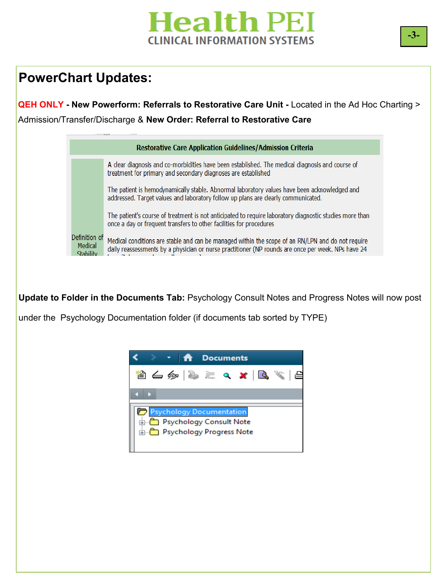# **Health PEI CLINICAL INFORMATION SYSTEMS**

### **PowerChart Updates:**

**QEH ONLY - New Powerform: Referrals to Restorative Care Unit -** Located in the Ad Hoc Charting > Admission/Transfer/Discharge & **New Order: Referral to Restorative Care** 

| <b>Restorative Care Application Guidelines/Admission Criteria</b> |                                                                                                                                                                                                         |  |  |  |  |
|-------------------------------------------------------------------|---------------------------------------------------------------------------------------------------------------------------------------------------------------------------------------------------------|--|--|--|--|
|                                                                   | A clear diagnosis and co-morbidities have been established. The medical diagnosis and course of<br>treatment for primary and secondary diagnoses are established                                        |  |  |  |  |
|                                                                   | The patient is hemodynamically stable. Abnormal laboratory values have been acknowledged and<br>addressed. Target values and laboratory follow up plans are clearly communicated.                       |  |  |  |  |
|                                                                   | The patient's course of treatment is not anticipated to require laboratory diagnostic studies more than<br>once a day or frequent transfers to other facilities for procedures                          |  |  |  |  |
| Definition of<br>Medical<br><b>Stability</b>                      | Medical conditions are stable and can be managed within the scope of an RN/LPN and do not require<br>daily reassessments by a physician or nurse practitioner (NP rounds are once per week. NPs have 24 |  |  |  |  |

**Update to Folder in the Documents Tab:** Psychology Consult Notes and Progress Notes will now post

under the Psychology Documentation folder (if documents tab sorted by TYPE)

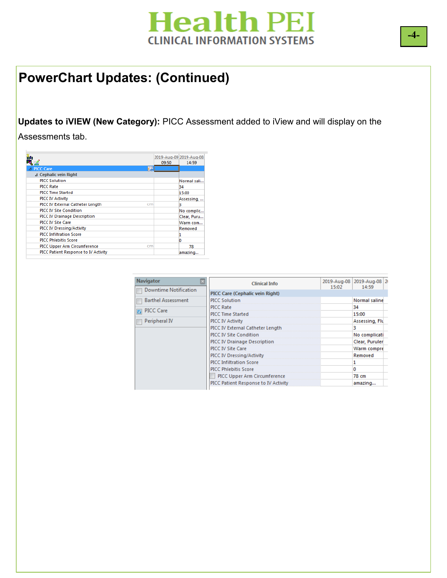# **Health PEI CLINICAL INFORMATION SYSTEMS**

#### **PowerChart Updates: (Continued)**

**Updates to iVIEW (New Category):** PICC Assessment added to iView and will display on the

Assessments tab.

|                                      |    | 2019-Aug-09 2019-Aug-08 |
|--------------------------------------|----|-------------------------|
|                                      |    | 14:59<br>09:50          |
| ⊿ PICC Care                          | ۳. |                         |
| ⊿ Cephalic vein Right                |    |                         |
| <b>PICC Solution</b>                 |    | Normal sali             |
| <b>PICC Rate</b>                     |    | 34                      |
| <b>PICC Time Started</b>             |    | 15:00                   |
| PICC IV Activity                     |    | Assessing,              |
| PICC IV External Catheter Length     | cm | в                       |
| <b>PICC IV Site Condition</b>        |    | No complic              |
| <b>PICC IV Drainage Description</b>  |    | Clear, Puru             |
| <b>PICC IV Site Care</b>             |    | Warm com                |
| PICC IV Dressing/Activity            |    | Removed                 |
| <b>PICC Infiltration Score</b>       |    |                         |
| <b>PICC Phlebitis Score</b>          |    |                         |
| PICC Upper Arm Circumference         | cm | 78                      |
| PICC Patient Response to IV Activity |    | amazing                 |

| <b>Navigator</b>             | <b>Clinical Info</b>                 |       | 2019-Aug-08 2019-Aug-08 2 |  |
|------------------------------|--------------------------------------|-------|---------------------------|--|
| <b>Downtime Notification</b> |                                      | 15:02 | 14:59                     |  |
|                              | PICC Care (Cephalic vein Right)      |       |                           |  |
| <b>Barthel Assessment</b>    | <b>PICC Solution</b>                 |       | Normal saline             |  |
| <b>PICC Care</b>             | PICC Rate                            |       | 34                        |  |
|                              | <b>PICC Time Started</b>             |       | 15:00                     |  |
| Peripheral IV                | <b>PICC IV Activity</b>              |       | Assessing, Flu            |  |
|                              | PICC IV External Catheter Length     |       | в                         |  |
|                              | PICC IV Site Condition               |       | No complicati             |  |
|                              | PICC IV Drainage Description         |       | Clear, Puruler            |  |
|                              | PICC IV Site Care                    |       | Warm compre               |  |
|                              | PICC IV Dressing/Activity            |       | Removed                   |  |
|                              | <b>PICC Infiltration Score</b>       |       |                           |  |
|                              | <b>PICC Phlebitis Score</b>          |       | Ω                         |  |
|                              | PICC Upper Arm Circumference         |       | 78 cm                     |  |
|                              | PICC Patient Response to IV Activity |       | amazing                   |  |